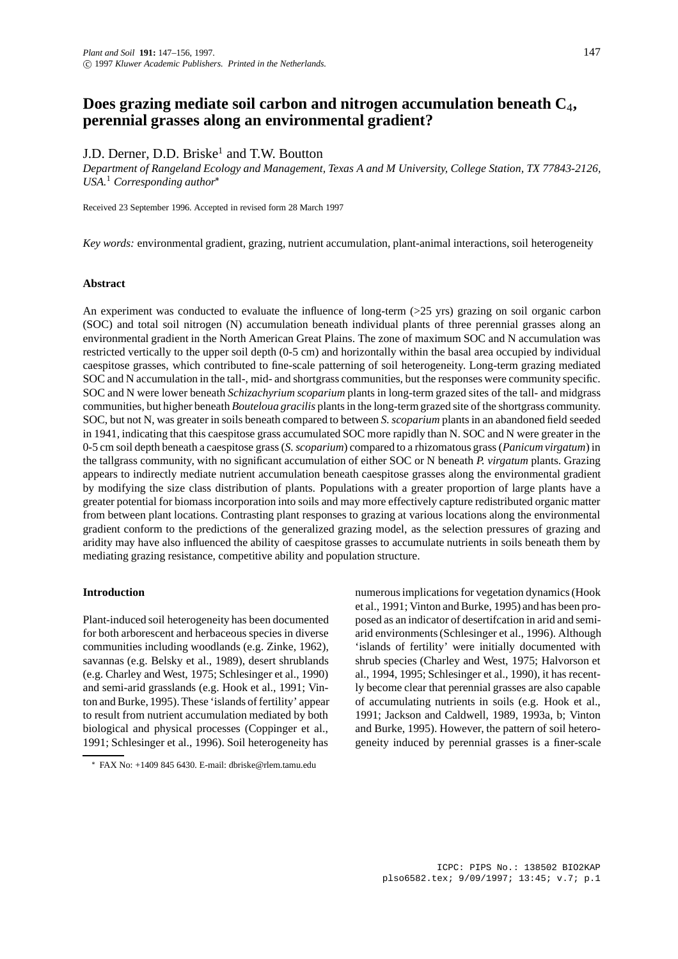# **Does grazing mediate soil carbon and nitrogen accumulation beneath C**4**, perennial grasses along an environmental gradient?**

## J.D. Derner, D.D. Briske<sup>1</sup> and T.W. Boutton

*Department of Rangeland Ecology and Management, Texas A and M University, College Station, TX 77843-2126, USA.*<sup>1</sup> *Corresponding author*

Received 23 September 1996. Accepted in revised form 28 March 1997

*Key words:* environmental gradient, grazing, nutrient accumulation, plant-animal interactions, soil heterogeneity

#### **Abstract**

An experiment was conducted to evaluate the influence of long-term (>25 yrs) grazing on soil organic carbon (SOC) and total soil nitrogen (N) accumulation beneath individual plants of three perennial grasses along an environmental gradient in the North American Great Plains. The zone of maximum SOC and N accumulation was restricted vertically to the upper soil depth (0-5 cm) and horizontally within the basal area occupied by individual caespitose grasses, which contributed to fine-scale patterning of soil heterogeneity. Long-term grazing mediated SOC and N accumulation in the tall-, mid- and shortgrass communities, but the responses were community specific. SOC and N were lower beneath *Schizachyrium scoparium* plants in long-term grazed sites of the tall- and midgrass communities, but higher beneath *Bouteloua gracilis* plants in the long-term grazed site of the shortgrass community. SOC, but not N, was greater in soils beneath compared to between *S. scoparium* plants in an abandoned field seeded in 1941, indicating that this caespitose grass accumulated SOC more rapidly than N. SOC and N were greater in the 0-5 cm soil depth beneath a caespitose grass (*S. scoparium*) compared to a rhizomatous grass (*Panicum virgatum*) in the tallgrass community, with no significant accumulation of either SOC or N beneath *P. virgatum* plants. Grazing appears to indirectly mediate nutrient accumulation beneath caespitose grasses along the environmental gradient by modifying the size class distribution of plants. Populations with a greater proportion of large plants have a greater potential for biomass incorporation into soils and may more effectively capture redistributed organic matter from between plant locations. Contrasting plant responses to grazing at various locations along the environmental gradient conform to the predictions of the generalized grazing model, as the selection pressures of grazing and aridity may have also influenced the ability of caespitose grasses to accumulate nutrients in soils beneath them by mediating grazing resistance, competitive ability and population structure.

## **Introduction**

Plant-induced soil heterogeneity has been documented for both arborescent and herbaceous species in diverse communities including woodlands (e.g. Zinke, 1962), savannas (e.g. Belsky et al., 1989), desert shrublands (e.g. Charley and West, 1975; Schlesinger et al., 1990) and semi-arid grasslands (e.g. Hook et al., 1991; Vinton and Burke, 1995). These 'islands of fertility' appear to result from nutrient accumulation mediated by both biological and physical processes (Coppinger et al., 1991; Schlesinger et al., 1996). Soil heterogeneity has numerous implications for vegetation dynamics (Hook et al., 1991; Vinton and Burke, 1995) and has been proposed as an indicator of desertifcation in arid and semiarid environments (Schlesinger et al., 1996). Although 'islands of fertility' were initially documented with shrub species (Charley and West, 1975; Halvorson et al., 1994, 1995; Schlesinger et al., 1990), it has recently become clear that perennial grasses are also capable of accumulating nutrients in soils (e.g. Hook et al., 1991; Jackson and Caldwell, 1989, 1993a, b; Vinton and Burke, 1995). However, the pattern of soil heterogeneity induced by perennial grasses is a finer-scale

FAX No: +1409 845 6430. E-mail: dbriske@rlem.tamu.edu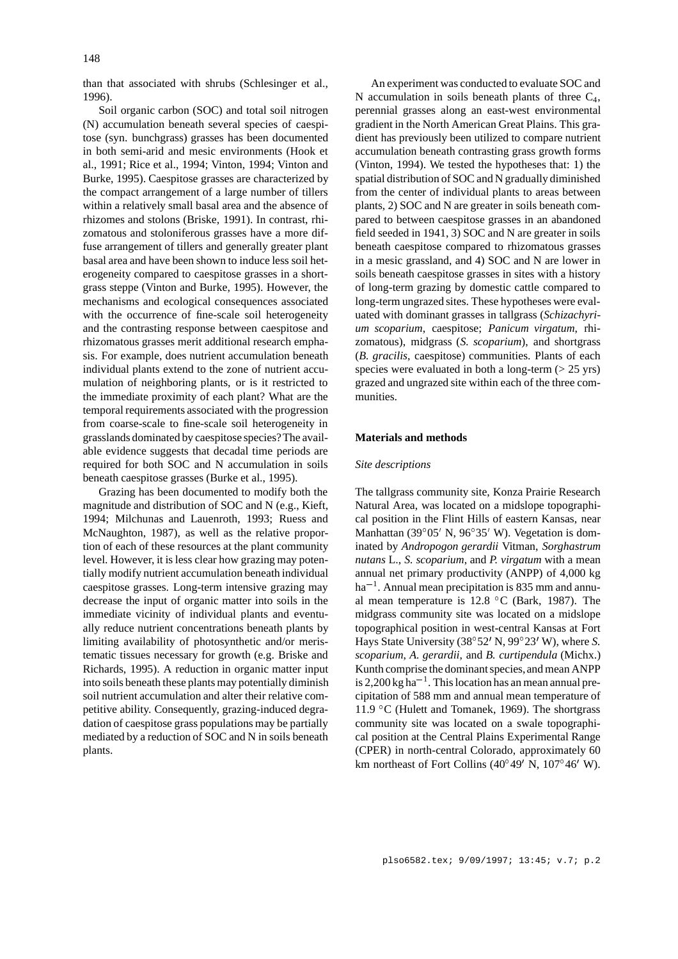than that associated with shrubs (Schlesinger et al., 1996).

Soil organic carbon (SOC) and total soil nitrogen (N) accumulation beneath several species of caespitose (syn. bunchgrass) grasses has been documented in both semi-arid and mesic environments (Hook et al., 1991; Rice et al., 1994; Vinton, 1994; Vinton and Burke, 1995). Caespitose grasses are characterized by the compact arrangement of a large number of tillers within a relatively small basal area and the absence of rhizomes and stolons (Briske, 1991). In contrast, rhizomatous and stoloniferous grasses have a more diffuse arrangement of tillers and generally greater plant basal area and have been shown to induce less soil heterogeneity compared to caespitose grasses in a shortgrass steppe (Vinton and Burke, 1995). However, the mechanisms and ecological consequences associated with the occurrence of fine-scale soil heterogeneity and the contrasting response between caespitose and rhizomatous grasses merit additional research emphasis. For example, does nutrient accumulation beneath individual plants extend to the zone of nutrient accumulation of neighboring plants, or is it restricted to the immediate proximity of each plant? What are the temporal requirements associated with the progression from coarse-scale to fine-scale soil heterogeneity in grasslands dominated by caespitose species?The available evidence suggests that decadal time periods are required for both SOC and N accumulation in soils beneath caespitose grasses (Burke et al., 1995).

Grazing has been documented to modify both the magnitude and distribution of SOC and N (e.g., Kieft, 1994; Milchunas and Lauenroth, 1993; Ruess and McNaughton, 1987), as well as the relative proportion of each of these resources at the plant community level. However, it is less clear how grazing may potentially modify nutrient accumulation beneath individual caespitose grasses. Long-term intensive grazing may decrease the input of organic matter into soils in the immediate vicinity of individual plants and eventually reduce nutrient concentrations beneath plants by limiting availability of photosynthetic and/or meristematic tissues necessary for growth (e.g. Briske and Richards, 1995). A reduction in organic matter input into soils beneath these plants may potentially diminish soil nutrient accumulation and alter their relative competitive ability. Consequently, grazing-induced degradation of caespitose grass populations may be partially mediated by a reduction of SOC and N in soils beneath plants.

An experiment was conducted to evaluate SOC and N accumulation in soils beneath plants of three  $C_4$ , perennial grasses along an east-west environmental gradient in the North American Great Plains. This gradient has previously been utilized to compare nutrient accumulation beneath contrasting grass growth forms (Vinton, 1994). We tested the hypotheses that: 1) the spatial distribution of SOC and N gradually diminished from the center of individual plants to areas between plants, 2) SOC and N are greater in soils beneath compared to between caespitose grasses in an abandoned field seeded in 1941, 3) SOC and N are greater in soils beneath caespitose compared to rhizomatous grasses in a mesic grassland, and 4) SOC and N are lower in soils beneath caespitose grasses in sites with a history of long-term grazing by domestic cattle compared to long-term ungrazed sites. These hypotheses were evaluated with dominant grasses in tallgrass (*Schizachyrium scoparium*, caespitose; *Panicum virgatum*, rhizomatous), midgrass (*S. scoparium*), and shortgrass (*B. gracilis*, caespitose) communities. Plants of each species were evaluated in both a long-term  $(> 25 \text{ yrs})$ grazed and ungrazed site within each of the three communities.

#### **Materials and methods**

## *Site descriptions*

The tallgrass community site, Konza Prairie Research Natural Area, was located on a midslope topographical position in the Flint Hills of eastern Kansas, near Manhattan (39 $\degree$ 05' N, 96 $\degree$ 35' W). Vegetation is dominated by *Andropogon gerardii* Vitman, *Sorghastrum nutans* L., *S. scoparium*, and *P. virgatum* with a mean annual net primary productivity (ANPP) of 4,000 kg  $ha^{-1}$ . Annual mean precipitation is 835 mm and annual mean temperature is 12.8 C (Bark, 1987). The midgrass community site was located on a midslope topographical position in west-central Kansas at Fort Hays State University (38°52' N, 99°23' W), where *S*. *scoparium*, *A. gerardii*, and *B. curtipendula* (Michx.) Kunth comprise the dominant species, and mean ANPP is 2,200 kg ha<sup>-1</sup>. This location has an mean annual precipitation of 588 mm and annual mean temperature of 11.9 °C (Hulett and Tomanek, 1969). The shortgrass community site was located on a swale topographical position at the Central Plains Experimental Range (CPER) in north-central Colorado, approximately 60 km northeast of Fort Collins  $(40^{\circ}49' \text{ N}, 107^{\circ}46' \text{ W})$ .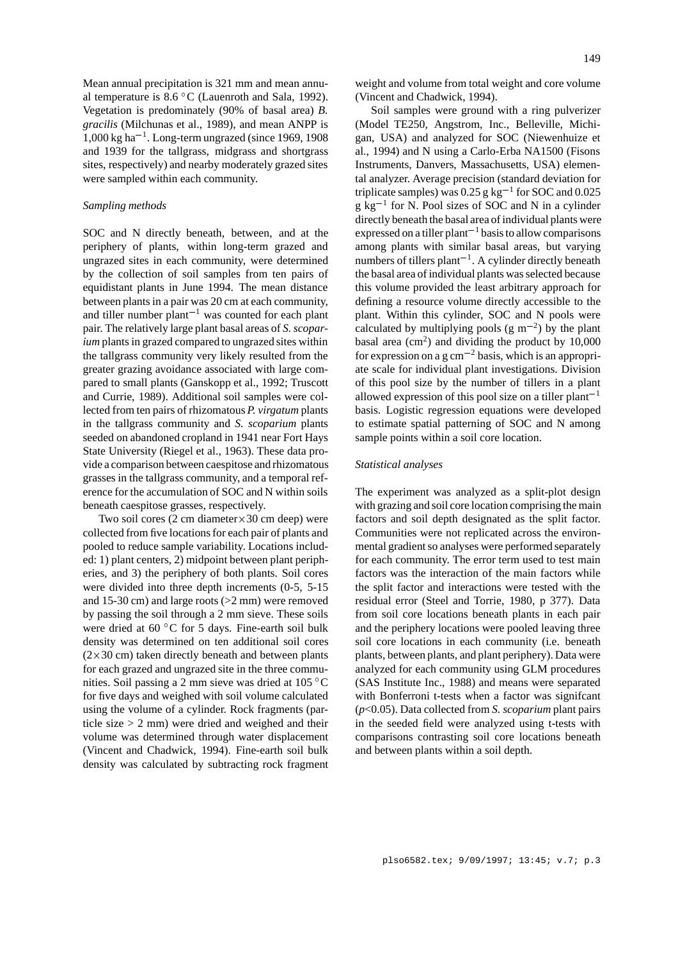Mean annual precipitation is 321 mm and mean annual temperature is  $8.6 \degree C$  (Lauenroth and Sala, 1992). Vegetation is predominately (90% of basal area) *B. gracilis* (Milchunas et al., 1989), and mean ANPP is  $1,000 \text{ kg}$  ha<sup>-1</sup>. Long-term ungrazed (since 1969, 1908) and 1939 for the tallgrass, midgrass and shortgrass sites, respectively) and nearby moderately grazed sites were sampled within each community.

## *Sampling methods*

SOC and N directly beneath, between, and at the periphery of plants, within long-term grazed and ungrazed sites in each community, were determined by the collection of soil samples from ten pairs of equidistant plants in June 1994. The mean distance between plants in a pair was 20 cm at each community, and tiller number plant<sup> $-1$ </sup> was counted for each plant pair. The relatively large plant basal areas of *S. scoparium* plants in grazed compared to ungrazed sites within the tallgrass community very likely resulted from the greater grazing avoidance associated with large compared to small plants (Ganskopp et al., 1992; Truscott and Currie, 1989). Additional soil samples were collected from ten pairs of rhizomatous *P. virgatum* plants in the tallgrass community and *S. scoparium* plants seeded on abandoned cropland in 1941 near Fort Hays State University (Riegel et al., 1963). These data provide a comparison between caespitose and rhizomatous grasses in the tallgrass community, and a temporal reference for the accumulation of SOC and N within soils beneath caespitose grasses, respectively.

Two soil cores  $(2 \text{ cm diameter} \times 30 \text{ cm deep})$  were collected from five locations for each pair of plants and pooled to reduce sample variability. Locations included: 1) plant centers, 2) midpoint between plant peripheries, and 3) the periphery of both plants. Soil cores were divided into three depth increments (0-5, 5-15 and 15-30 cm) and large roots (>2 mm) were removed by passing the soil through a 2 mm sieve. These soils were dried at 60 °C for 5 days. Fine-earth soil bulk density was determined on ten additional soil cores  $(2 \times 30 \text{ cm})$  taken directly beneath and between plants for each grazed and ungrazed site in the three communities. Soil passing a 2 mm sieve was dried at 105 C for five days and weighed with soil volume calculated using the volume of a cylinder. Rock fragments (particle size > 2 mm) were dried and weighed and their volume was determined through water displacement (Vincent and Chadwick, 1994). Fine-earth soil bulk density was calculated by subtracting rock fragment

weight and volume from total weight and core volume (Vincent and Chadwick, 1994).

Soil samples were ground with a ring pulverizer (Model TE250, Angstrom, Inc., Belleville, Michigan, USA) and analyzed for SOC (Niewenhuize et al., 1994) and N using a Carlo-Erba NA1500 (Fisons Instruments, Danvers, Massachusetts, USA) elemental analyzer. Average precision (standard deviation for triplicate samples) was 0.25 g kg<sup>-1</sup> for SOC and 0.025  $g \text{ kg}^{-1}$  for N. Pool sizes of SOC and N in a cylinder directly beneath the basal area of individual plants were expressed on a tiller plant<sup> $-1$ </sup> basis to allow comparisons among plants with similar basal areas, but varying numbers of tillers plant<sup>-1</sup>. A cylinder directly beneath the basal area of individual plants was selected because this volume provided the least arbitrary approach for defining a resource volume directly accessible to the plant. Within this cylinder, SOC and N pools were calculated by multiplying pools (g  $m^{-2}$ ) by the plant basal area  $\rm (cm^2)$  and dividing the product by 10,000 for expression on a g  $cm^{-2}$  basis, which is an appropriate scale for individual plant investigations. Division of this pool size by the number of tillers in a plant allowed expression of this pool size on a tiller plant<sup>-1</sup> basis. Logistic regression equations were developed to estimate spatial patterning of SOC and N among sample points within a soil core location.

## *Statistical analyses*

The experiment was analyzed as a split-plot design with grazing and soil core location comprising the main factors and soil depth designated as the split factor. Communities were not replicated across the environmental gradient so analyses were performed separately for each community. The error term used to test main factors was the interaction of the main factors while the split factor and interactions were tested with the residual error (Steel and Torrie, 1980, p 377). Data from soil core locations beneath plants in each pair and the periphery locations were pooled leaving three soil core locations in each community (i.e. beneath plants, between plants, and plant periphery). Data were analyzed for each community using GLM procedures (SAS Institute Inc., 1988) and means were separated with Bonferroni t-tests when a factor was signifcant (*p*<0.05). Data collected from *S. scoparium* plant pairs in the seeded field were analyzed using t-tests with comparisons contrasting soil core locations beneath and between plants within a soil depth.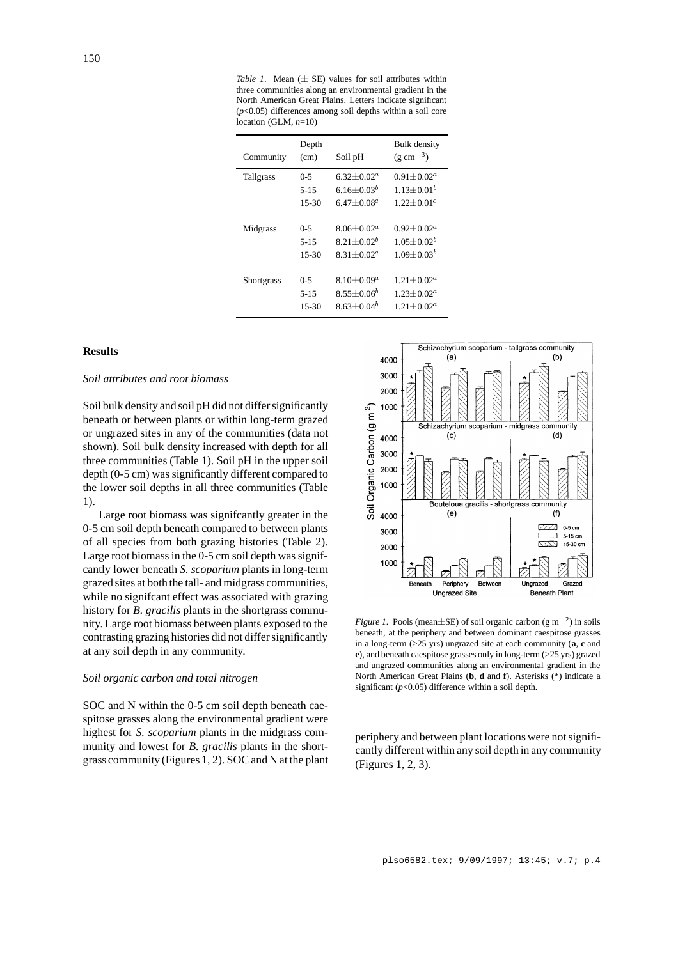*Table 1*. Mean  $(\pm \text{ SE})$  values for soil attributes within three communities along an environmental gradient in the North American Great Plains. Letters indicate significant (*p*<0.05) differences among soil depths within a soil core location (GLM, *n*=10)

| Community         | Depth<br>(cm)       | Soil pH                                     | <b>Bulk</b> density<br>$(g \text{ cm}^{-3})$ |
|-------------------|---------------------|---------------------------------------------|----------------------------------------------|
| <b>Tallgrass</b>  | $0 - 5$             | $6.32 + 0.02^a$                             | $0.91 + 0.02^a$                              |
|                   | $5 - 15$<br>$15-30$ | 6.16+0.03 <sup>b</sup><br>$6.47 + 0.08^{c}$ | $1.13 + 0.01^b$<br>$1.22+0.01c$              |
| Midgrass          | $0 - 5$             | $8.06 + 0.02^a$                             | $0.92 + 0.02^a$                              |
|                   | $5 - 15$            | $8.21 + 0.02^b$                             | $1.05 + 0.02^b$                              |
|                   | $15-30$             | $8.31 + 0.02^c$                             | $1.09 + 0.03^b$                              |
| <b>Shortgrass</b> | $0 - 5$             | 8.10 $\pm$ 0.09 <sup>a</sup>                | $1.21 \pm 0.02^a$                            |
|                   | $5 - 15$            | $8.55 \pm 0.06^b$                           | $1.23 + 0.02^a$                              |
|                   | $15-30$             | $8.63 + 0.04b$                              | $1.21 + 0.02a$                               |

## **Results**

#### *Soil attributes and root biomass*

Soil bulk density and soil pH did not differ significantly beneath or between plants or within long-term grazed or ungrazed sites in any of the communities (data not shown). Soil bulk density increased with depth for all three communities (Table 1). Soil pH in the upper soil depth (0-5 cm) was significantly different compared to the lower soil depths in all three communities (Table 1).

Large root biomass was signifcantly greater in the 0-5 cm soil depth beneath compared to between plants of all species from both grazing histories (Table 2). Large root biomass in the 0-5 cm soil depth was signifcantly lower beneath *S. scoparium* plants in long-term grazed sites at both the tall- and midgrass communities, while no signifcant effect was associated with grazing history for *B. gracilis* plants in the shortgrass community. Large root biomass between plants exposed to the contrasting grazing histories did not differ significantly at any soil depth in any community.

## *Soil organic carbon and total nitrogen*

SOC and N within the 0-5 cm soil depth beneath caespitose grasses along the environmental gradient were highest for *S. scoparium* plants in the midgrass community and lowest for *B. gracilis* plants in the shortgrass community (Figures 1, 2). SOC and N at the plant



*Figure 1*. Pools (mean $\pm$ SE) of soil organic carbon (g m<sup>-2</sup>) in soils beneath, at the periphery and between dominant caespitose grasses in a long-term (>25 yrs) ungrazed site at each community (**a**, **c** and **e**), and beneath caespitose grasses only in long-term (>25 yrs) grazed and ungrazed communities along an environmental gradient in the North American Great Plains (**b**, **d** and **f**). Asterisks (\*) indicate a significant (*p*<0.05) difference within a soil depth.

periphery and between plant locations were not significantly different within any soil depth in any community (Figures 1, 2, 3).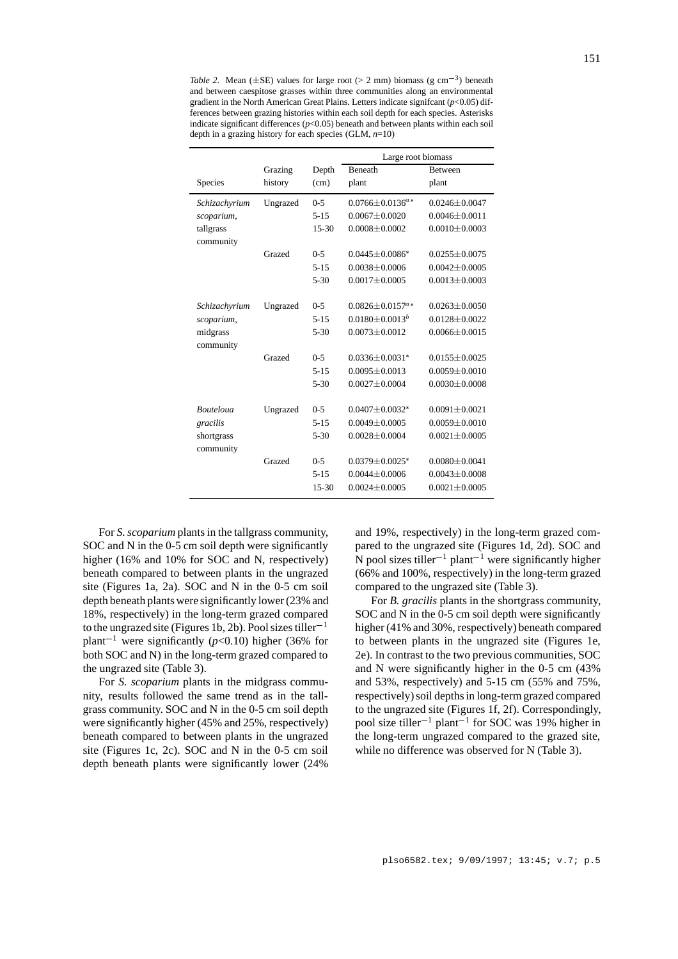*Table 2.* Mean ( $\pm$ SE) values for large root (> 2 mm) biomass (g cm<sup>-3</sup>) beneath and between caespitose grasses within three communities along an environmental gradient in the North American Great Plains. Letters indicate signifcant (*p*<0.05) differences between grazing histories within each soil depth for each species. Asterisks indicate significant differences  $(p<0.05)$  beneath and between plants within each soil depth in a grazing history for each species (GLM, *n*=10)

|                        |          |           | Large root biomass                |                     |  |
|------------------------|----------|-----------|-----------------------------------|---------------------|--|
|                        | Grazing  | Depth     | <b>Beneath</b>                    | <b>Between</b>      |  |
| Species                | history  | (cm)      | plant                             | plant               |  |
| Schizachyrium          | Ungrazed | $0 - 5$   | $0.0766 + 0.0136^{a*}$            | $0.0246 + 0.0047$   |  |
| scoparium,             |          | $5 - 15$  | $0.0067 + 0.0020$                 | $0.0046 \pm 0.0011$ |  |
| tallgrass<br>community |          | 15-30     | $0.0008 \pm 0.0002$               | $0.0010 \pm 0.0003$ |  |
|                        | Grazed   | $0-5$     | $0.0445 + 0.0086*$                | $0.0255 + 0.0075$   |  |
|                        |          | $5 - 15$  | $0.0038 + 0.0006$                 | $0.0042 + 0.0005$   |  |
|                        |          | $5 - 30$  | $0.0017 \pm 0.0005$               | $0.0013 \pm 0.0003$ |  |
| Schizachyrium          | Ungrazed | $0 - 5$   | $0.0826 \pm 0.0157$ <sup>a*</sup> | $0.0263 \pm 0.0050$ |  |
| scoparium,             |          | $5 - 15$  | $0.0180 + 0.0013^{b}$             | $0.0128 + 0.0022$   |  |
| midgrass               |          | $5 - 30$  | $0.0073 + 0.0012$                 | $0.0066 + 0.0015$   |  |
| community              |          |           |                                   |                     |  |
|                        | Grazed   | $0 - 5$   | $0.0336 + 0.0031*$                | $0.0155 + 0.0025$   |  |
|                        |          | $5 - 15$  | $0.0095 \pm 0.0013$               | $0.0059 \pm 0.0010$ |  |
|                        |          | $5 - 30$  | $0.0027 \pm 0.0004$               | $0.0030 \pm 0.0008$ |  |
| <b>Bouteloua</b>       | Ungrazed | $0 - 5$   | $0.0407 + 0.0032$ <sup>*</sup>    | $0.0091 + 0.0021$   |  |
| gracilis               |          | $5 - 15$  | $0.0049 \pm 0.0005$               | $0.0059 \pm 0.0010$ |  |
| shortgrass             |          | $5 - 30$  | $0.0028 \pm 0.0004$               | $0.0021 \pm 0.0005$ |  |
| community              |          |           |                                   |                     |  |
|                        | Grazed   | $0 - 5$   | $0.0379 + 0.0025*$                | $0.0080 + 0.0041$   |  |
|                        |          | $5 - 15$  | $0.0044 \pm 0.0006$               | $0.0043 \pm 0.0008$ |  |
|                        |          | $15 - 30$ | $0.0024 + 0.0005$                 | $0.0021 + 0.0005$   |  |

For *S. scoparium* plants in the tallgrass community, SOC and N in the 0-5 cm soil depth were significantly higher (16% and 10% for SOC and N, respectively) beneath compared to between plants in the ungrazed site (Figures 1a, 2a). SOC and N in the 0-5 cm soil depth beneath plants were significantly lower (23% and 18%, respectively) in the long-term grazed compared to the ungrazed site (Figures 1b, 2b). Pool sizes tiller<sup>-1</sup> plant<sup>-1</sup> were significantly ( $p<0.10$ ) higher (36% for both SOC and N) in the long-term grazed compared to the ungrazed site (Table 3).

For *S. scoparium* plants in the midgrass community, results followed the same trend as in the tallgrass community. SOC and N in the 0-5 cm soil depth were significantly higher (45% and 25%, respectively) beneath compared to between plants in the ungrazed site (Figures 1c, 2c). SOC and N in the 0-5 cm soil depth beneath plants were significantly lower (24%

and 19%, respectively) in the long-term grazed compared to the ungrazed site (Figures 1d, 2d). SOC and N pool sizes tiller<sup>-1</sup> plant<sup>-1</sup> were significantly higher (66% and 100%, respectively) in the long-term grazed compared to the ungrazed site (Table 3).

For *B. gracilis* plants in the shortgrass community, SOC and N in the 0-5 cm soil depth were significantly higher (41% and 30%, respectively) beneath compared to between plants in the ungrazed site (Figures 1e, 2e). In contrast to the two previous communities, SOC and N were significantly higher in the 0-5 cm (43% and 53%, respectively) and 5-15 cm (55% and 75%, respectively) soil depths in long-term grazed compared to the ungrazed site (Figures 1f, 2f). Correspondingly, pool size tiller<sup>-1</sup> plant<sup>-1</sup> for SOC was 19% higher in the long-term ungrazed compared to the grazed site, while no difference was observed for N (Table 3).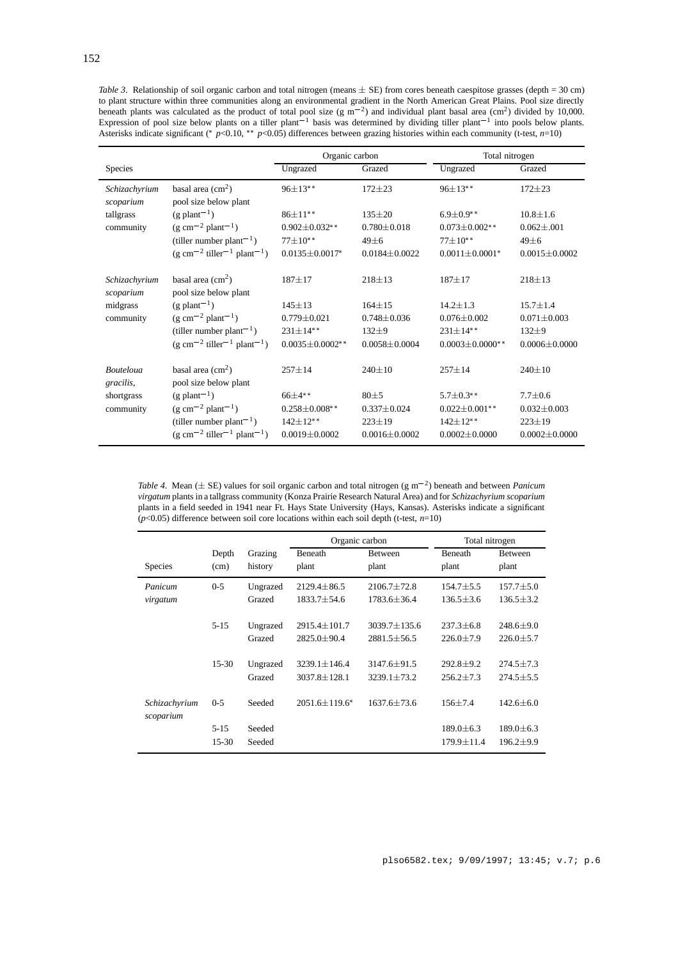*Table 3*. Relationship of soil organic carbon and total nitrogen (means  $\pm$  SE) from cores beneath caespitose grasses (depth = 30 cm) to plant structure within three communities along an environmental gradient in the North American Great Plains. Pool size directly beneath plants was calculated as the product of total pool size (g m<sup>-2</sup>) and individual plant basal area (cm<sup>2</sup>) divided by 10,000. Expression of pool size below plants on a tiller plant<sup>-1</sup> basis was determined by dividing tiller plant<sup>-1</sup> into pools below plants. Asterisks indicate significant (\* p<0.10, \*\* p<0.05) differences between grazing histories within each community (t-test, *n*=10)

|                               |                                                              | Organic carbon         |                     | Total nitrogen       |                     |
|-------------------------------|--------------------------------------------------------------|------------------------|---------------------|----------------------|---------------------|
| <b>Species</b>                |                                                              | Ungrazed               | Grazed              | Ungrazed             | Grazed              |
| Schizachyrium                 | basal area $\text{cm}^2$ )                                   | $96+13**$              | $172 + 23$          | $96 \pm 13**$        | $172 + 23$          |
| scoparium                     | pool size below plant                                        |                        |                     |                      |                     |
| tallgrass<br>community        | $(g$ plant <sup>-1</sup> )                                   | $86 \pm 11**$          | $135 + 20$          | $6.9 \pm 0.9$ **     | $10.8 + 1.6$        |
|                               | $(g \text{ cm}^{-2} \text{ plant}^{-1})$                     | $0.902 \pm 0.032**$    | $0.780 \pm 0.018$   | $0.073 \pm 0.002$ ** | $0.062 \pm 0.001$   |
|                               | (tiller number plant <sup>-1</sup> )                         | $77+10**$              | $49 + 6$            | $77+10**$            | $49 + 6$            |
|                               | $(g \text{ cm}^{-2} \text{ tiller}^{-1} \text{ plant}^{-1})$ | $0.0135 \pm 0.0017$ *  | $0.0184 + 0.0022$   | $0.0011 + 0.0001*$   | $0.0015 \pm 0.0002$ |
| Schizachyrium<br>scoparium    | basal area $\text{cm}^2$ )<br>pool size below plant          | $187 + 17$             | $218 \pm 13$        | $187 + 17$           | $218 \pm 13$        |
| midgrass<br>community         | $(g$ plant <sup>-1</sup> )                                   | $145 \pm 13$           | $164 + 15$          | $14.2 + 1.3$         | $15.7 + 1.4$        |
|                               | $(g cm^{-2} plant^{-1})$                                     | $0.779 \pm 0.021$      | $0.748 + 0.036$     | $0.076 + 0.002$      | $0.071 + 0.003$     |
|                               | (tiller number plant <sup>-1</sup> )                         | $231 \pm 14***$        | $132 + 9$           | $231 \pm 14$ **      | $132 + 9$           |
|                               | $(g \text{ cm}^{-2} \text{ tiller}^{-1} \text{ plant}^{-1})$ | $0.0035 \pm 0.0002$ ** | $0.0058 + 0.0004$   | $0.0003 + 0.0000$ ** | $0.0006 + 0.0000$   |
| <b>Bouteloua</b><br>gracilis, | basal area $\text{cm}^2$ )<br>pool size below plant          | $257 \pm 14$           | $240 \pm 10$        | $257 \pm 14$         | $240 \pm 10$        |
| shortgrass                    | $(g$ plant <sup>-1</sup> )                                   | $66+4**$               | $80 + 5$            | $5.7 \pm 0.3$ **     | $7.7 + 0.6$         |
| community                     | $(g \text{ cm}^{-2} \text{ plant}^{-1})$                     | $0.258 \pm 0.008$ **   | $0.337 \pm 0.024$   | $0.022 \pm 0.001$ ** | $0.032 \pm 0.003$   |
|                               | (tiller number plant <sup>-1</sup> )                         | $142 \pm 12$ **        | $223 + 19$          | $142 \pm 12$ **      | $223 \pm 19$        |
|                               | $(g \text{ cm}^{-2} \text{ tiller}^{-1} \text{ plant}^{-1})$ | $0.0019 \pm 0.0002$    | $0.0016 \pm 0.0002$ | $0.0002 \pm 0.0000$  | $0.0002 \pm 0.0000$ |

*Table 4.* Mean ( $\pm$  SE) values for soil organic carbon and total nitrogen (g m<sup>-2</sup>) beneath and between *Panicum virgatum* plants in a tallgrass community (Konza Prairie Research Natural Area) and for *Schizachyrium scoparium* plants in a field seeded in 1941 near Ft. Hays State University (Hays, Kansas). Asterisks indicate a significant (*p*<0.05) difference between soil core locations within each soil depth (t-test, *n*=10)

|                            |          |          | Organic carbon     |                    | Total nitrogen   |                 |
|----------------------------|----------|----------|--------------------|--------------------|------------------|-----------------|
|                            | Depth    | Grazing  | Beneath            | <b>Between</b>     | <b>Beneath</b>   | <b>Between</b>  |
| <b>Species</b>             | (cm)     | history  | plant              | plant              | plant            | plant           |
| Panicum                    | $0 - 5$  | Ungrazed | $2129.4 \pm 86.5$  | $2106.7 \pm 72.8$  | $154.7 \pm 5.5$  | $157.7 \pm 5.0$ |
| virgatum                   |          | Grazed   | $1833.7 + 54.6$    | $1783.6 + 36.4$    | $136.5 + 3.6$    | $136.5 \pm 3.2$ |
|                            |          |          |                    |                    |                  |                 |
|                            | $5 - 15$ | Ungrazed | $2915.4 + 101.7$   | $3039.7 \pm 135.6$ | $237.3 + 6.8$    | $248.6 + 9.0$   |
|                            |          | Grazed   | $2825.0 + 90.4$    | $2881.5 + 56.5$    | $226.0 + 7.9$    | $226.0 + 5.7$   |
|                            | $15-30$  | Ungrazed | $3239.1 \pm 146.4$ | $3147.6 + 91.5$    | $292.8 + 9.2$    | $274.5 \pm 7.3$ |
|                            |          | Grazed   | $3037.8 \pm 128.1$ | $3239.1 + 73.2$    | $256.2 + 7.3$    | $274.5 + 5.5$   |
| Schizachyrium<br>scoparium | $0 - 5$  | Seeded   | $2051.6 + 119.6*$  | $1637.6 + 73.6$    | $156 + 7.4$      | $142.6 + 6.0$   |
|                            | $5 - 15$ | Seeded   |                    |                    | $189.0 \pm 6.3$  | $189.0 \pm 6.3$ |
|                            | $15-30$  | Seeded   |                    |                    | $179.9 \pm 11.4$ | $196.2 \pm 9.9$ |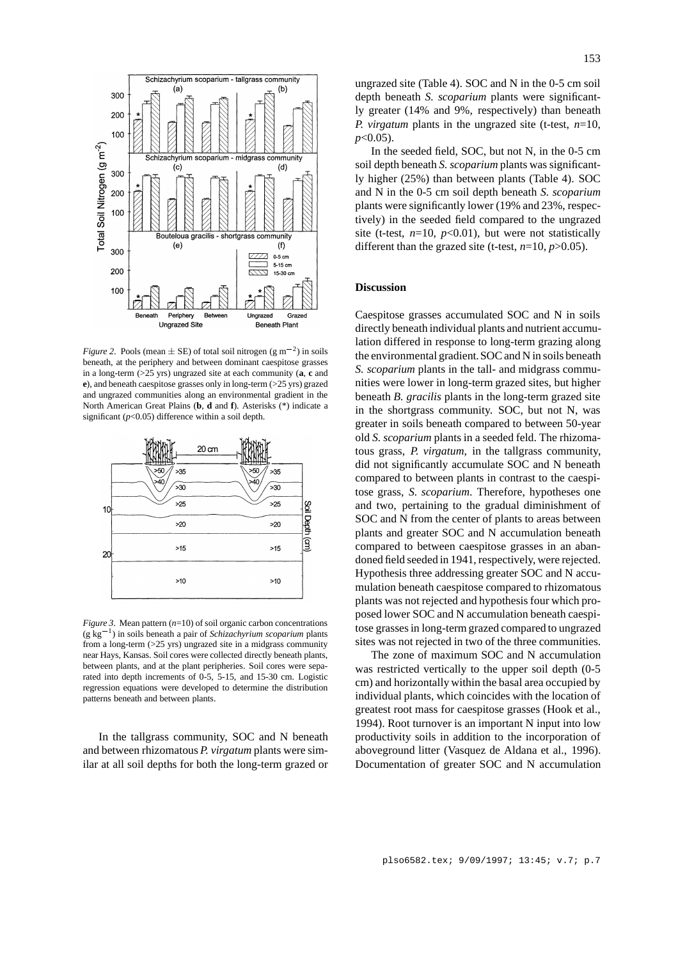

*Figure 2.* Pools (mean  $\pm$  SE) of total soil nitrogen (g m<sup>-2</sup>) in soils beneath, at the periphery and between dominant caespitose grasses in a long-term (>25 yrs) ungrazed site at each community (**a**, **c** and **e**), and beneath caespitose grasses only in long-term (>25 yrs) grazed and ungrazed communities along an environmental gradient in the North American Great Plains (**b**, **d** and **f**). Asterisks (\*) indicate a significant (*p*<0.05) difference within a soil depth.



*Figure 3.* Mean pattern (*n*=10) of soil organic carbon concentrations  $(g \text{ kg}^{-1})$  in soils beneath a pair of *Schizachyrium scoparium* plants from a long-term (>25 yrs) ungrazed site in a midgrass community near Hays, Kansas. Soil cores were collected directly beneath plants, between plants, and at the plant peripheries. Soil cores were separated into depth increments of 0-5, 5-15, and 15-30 cm. Logistic regression equations were developed to determine the distribution patterns beneath and between plants.

In the tallgrass community, SOC and N beneath and between rhizomatous *P. virgatum* plants were similar at all soil depths for both the long-term grazed or ungrazed site (Table 4). SOC and N in the 0-5 cm soil depth beneath *S. scoparium* plants were significantly greater (14% and 9%, respectively) than beneath *P. virgatum* plants in the ungrazed site (t-test, *n*=10, *p*<0.05).

In the seeded field, SOC, but not N, in the 0-5 cm soil depth beneath *S. scoparium* plants was significantly higher (25%) than between plants (Table 4). SOC and N in the 0-5 cm soil depth beneath *S. scoparium* plants were significantly lower (19% and 23%, respectively) in the seeded field compared to the ungrazed site (t-test,  $n=10$ ,  $p<0.01$ ), but were not statistically different than the grazed site (t-test,  $n=10$ ,  $p>0.05$ ).

#### **Discussion**

Caespitose grasses accumulated SOC and N in soils directly beneath individual plants and nutrient accumulation differed in response to long-term grazing along the environmental gradient.SOC and N in soils beneath *S. scoparium* plants in the tall- and midgrass communities were lower in long-term grazed sites, but higher beneath *B. gracilis* plants in the long-term grazed site in the shortgrass community. SOC, but not N, was greater in soils beneath compared to between 50-year old *S. scoparium* plants in a seeded feld. The rhizomatous grass, *P. virgatum*, in the tallgrass community, did not significantly accumulate SOC and N beneath compared to between plants in contrast to the caespitose grass, *S. scoparium*. Therefore, hypotheses one and two, pertaining to the gradual diminishment of SOC and N from the center of plants to areas between plants and greater SOC and N accumulation beneath compared to between caespitose grasses in an abandoned field seeded in 1941, respectively, were rejected. Hypothesis three addressing greater SOC and N accumulation beneath caespitose compared to rhizomatous plants was not rejected and hypothesis four which proposed lower SOC and N accumulation beneath caespitose grasses in long-term grazed compared to ungrazed sites was not rejected in two of the three communities.

The zone of maximum SOC and N accumulation was restricted vertically to the upper soil depth (0-5 cm) and horizontally within the basal area occupied by individual plants, which coincides with the location of greatest root mass for caespitose grasses (Hook et al., 1994). Root turnover is an important N input into low productivity soils in addition to the incorporation of aboveground litter (Vasquez de Aldana et al., 1996). Documentation of greater SOC and N accumulation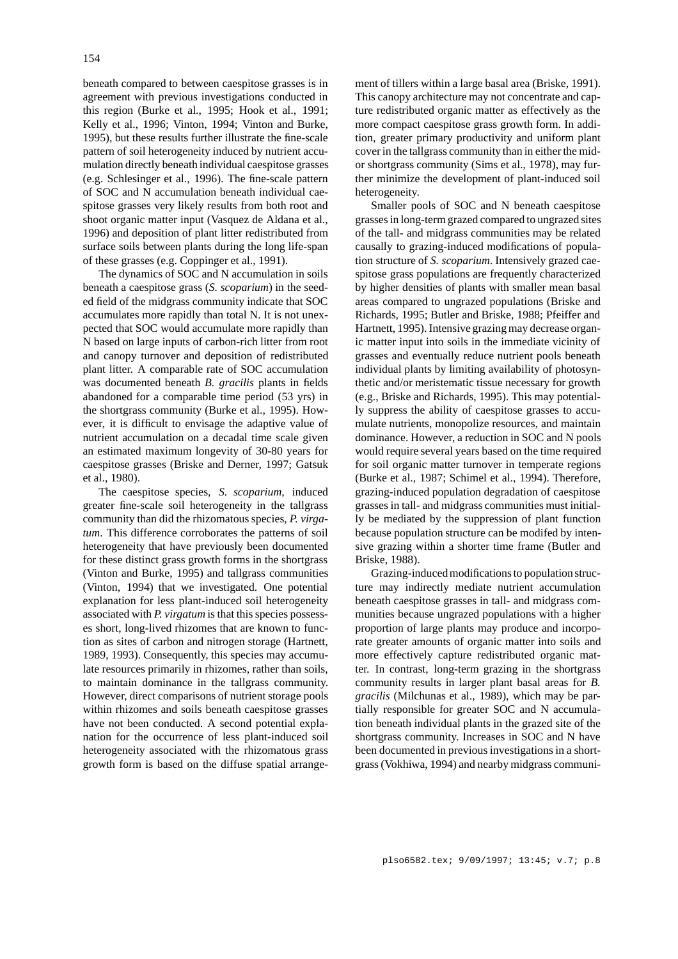beneath compared to between caespitose grasses is in agreement with previous investigations conducted in this region (Burke et al., 1995; Hook et al., 1991; Kelly et al., 1996; Vinton, 1994; Vinton and Burke, 1995), but these results further illustrate the fine-scale pattern of soil heterogeneity induced by nutrient accumulation directly beneath individual caespitose grasses (e.g. Schlesinger et al., 1996). The fine-scale pattern of SOC and N accumulation beneath individual caespitose grasses very likely results from both root and shoot organic matter input (Vasquez de Aldana et al., 1996) and deposition of plant litter redistributed from surface soils between plants during the long life-span of these grasses (e.g. Coppinger et al., 1991).

The dynamics of SOC and N accumulation in soils beneath a caespitose grass (*S. scoparium*) in the seeded field of the midgrass community indicate that SOC accumulates more rapidly than total N. It is not unexpected that SOC would accumulate more rapidly than N based on large inputs of carbon-rich litter from root and canopy turnover and deposition of redistributed plant litter. A comparable rate of SOC accumulation was documented beneath *B. gracilis* plants in fields abandoned for a comparable time period (53 yrs) in the shortgrass community (Burke et al., 1995). However, it is difficult to envisage the adaptive value of nutrient accumulation on a decadal time scale given an estimated maximum longevity of 30-80 years for caespitose grasses (Briske and Derner, 1997; Gatsuk et al., 1980).

The caespitose species, *S. scoparium*, induced greater fine-scale soil heterogeneity in the tallgrass community than did the rhizomatous species, *P. virgatum*. This difference corroborates the patterns of soil heterogeneity that have previously been documented for these distinct grass growth forms in the shortgrass (Vinton and Burke, 1995) and tallgrass communities (Vinton, 1994) that we investigated. One potential explanation for less plant-induced soil heterogeneity associated with *P. virgatum* is that this species possesses short, long-lived rhizomes that are known to function as sites of carbon and nitrogen storage (Hartnett, 1989, 1993). Consequently, this species may accumulate resources primarily in rhizomes, rather than soils, to maintain dominance in the tallgrass community. However, direct comparisons of nutrient storage pools within rhizomes and soils beneath caespitose grasses have not been conducted. A second potential explanation for the occurrence of less plant-induced soil heterogeneity associated with the rhizomatous grass growth form is based on the diffuse spatial arrangement of tillers within a large basal area (Briske, 1991). This canopy architecture may not concentrate and capture redistributed organic matter as effectively as the more compact caespitose grass growth form. In addition, greater primary productivity and uniform plant cover in the tallgrass community than in either the midor shortgrass community (Sims et al., 1978), may further minimize the development of plant-induced soil heterogeneity.

Smaller pools of SOC and N beneath caespitose grasses in long-term grazed compared to ungrazed sites of the tall- and midgrass communities may be related causally to grazing-induced modifications of population structure of *S. scoparium*. Intensively grazed caespitose grass populations are frequently characterized by higher densities of plants with smaller mean basal areas compared to ungrazed populations (Briske and Richards, 1995; Butler and Briske, 1988; Pfeiffer and Hartnett, 1995). Intensive grazing may decrease organic matter input into soils in the immediate vicinity of grasses and eventually reduce nutrient pools beneath individual plants by limiting availability of photosynthetic and/or meristematic tissue necessary for growth (e.g., Briske and Richards, 1995). This may potentially suppress the ability of caespitose grasses to accumulate nutrients, monopolize resources, and maintain dominance. However, a reduction in SOC and N pools would require several years based on the time required for soil organic matter turnover in temperate regions (Burke et al., 1987; Schimel et al., 1994). Therefore, grazing-induced population degradation of caespitose grasses in tall- and midgrass communities must initially be mediated by the suppression of plant function because population structure can be modifed by intensive grazing within a shorter time frame (Butler and Briske, 1988).

Grazing-induced modifications to population structure may indirectly mediate nutrient accumulation beneath caespitose grasses in tall- and midgrass communities because ungrazed populations with a higher proportion of large plants may produce and incorporate greater amounts of organic matter into soils and more effectively capture redistributed organic matter. In contrast, long-term grazing in the shortgrass community results in larger plant basal areas for *B. gracilis* (Milchunas et al., 1989), which may be partially responsible for greater SOC and N accumulation beneath individual plants in the grazed site of the shortgrass community. Increases in SOC and N have been documented in previous investigations in a shortgrass (Vokhiwa, 1994) and nearby midgrass communi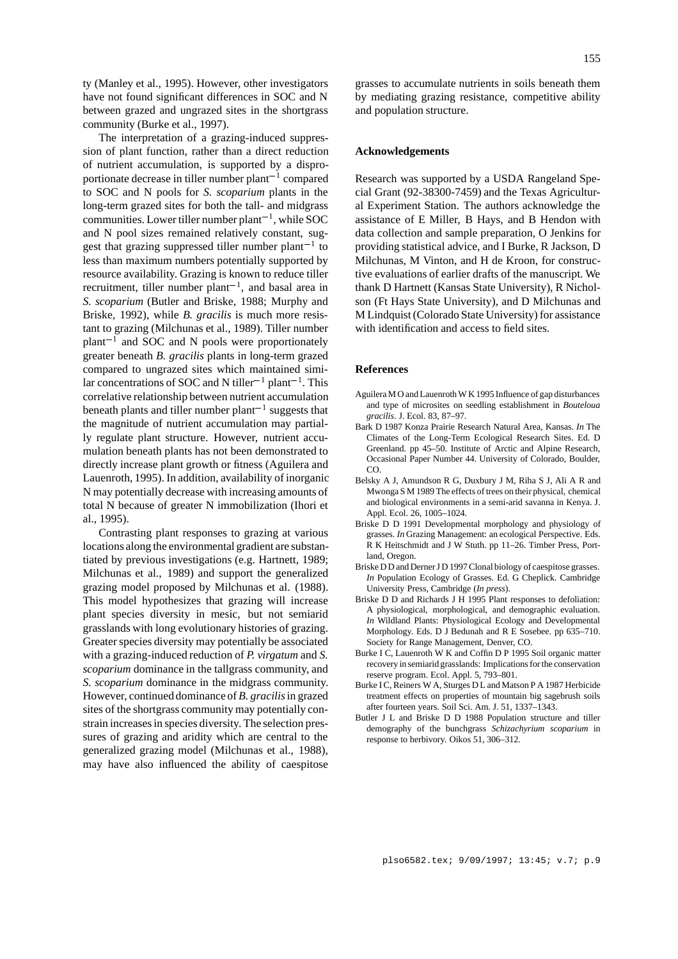ty (Manley et al., 1995). However, other investigators have not found significant differences in SOC and N between grazed and ungrazed sites in the shortgrass community (Burke et al., 1997).

The interpretation of a grazing-induced suppression of plant function, rather than a direct reduction of nutrient accumulation, is supported by a disproportionate decrease in tiller number  $plant^{-1}$  compared to SOC and N pools for *S. scoparium* plants in the long-term grazed sites for both the tall- and midgrass communities. Lower tiller number plant<sup> $-1$ </sup>, while SOC and N pool sizes remained relatively constant, suggest that grazing suppressed tiller number plant<sup>-1</sup> to less than maximum numbers potentially supported by resource availability. Grazing is known to reduce tiller recruitment, tiller number  $plant^{-1}$ , and basal area in *S. scoparium* (Butler and Briske, 1988; Murphy and Briske, 1992), while *B. gracilis* is much more resistant to grazing (Milchunas et al., 1989). Tiller number  $plant^{-1}$  and SOC and N pools were proportionately greater beneath *B. gracilis* plants in long-term grazed compared to ungrazed sites which maintained similar concentrations of SOC and N tiller<sup>-1</sup> plant<sup>-1</sup>. This correlative relationship between nutrient accumulation beneath plants and tiller number plant<sup> $-1$ </sup> suggests that the magnitude of nutrient accumulation may partially regulate plant structure. However, nutrient accumulation beneath plants has not been demonstrated to directly increase plant growth or fitness (Aguilera and Lauenroth, 1995). In addition, availability of inorganic N may potentially decrease with increasing amounts of total N because of greater N immobilization (Ihori et al., 1995).

Contrasting plant responses to grazing at various locations along the environmental gradient are substantiated by previous investigations (e.g. Hartnett, 1989; Milchunas et al., 1989) and support the generalized grazing model proposed by Milchunas et al. (1988). This model hypothesizes that grazing will increase plant species diversity in mesic, but not semiarid grasslands with long evolutionary histories of grazing. Greater species diversity may potentially be associated with a grazing-induced reduction of *P. virgatum* and *S. scoparium* dominance in the tallgrass community, and *S. scoparium* dominance in the midgrass community. However, continued dominance of *B. gracilis*in grazed sites of the shortgrass community may potentially constrain increases in species diversity. The selection pressures of grazing and aridity which are central to the generalized grazing model (Milchunas et al., 1988), may have also influenced the ability of caespitose

grasses to accumulate nutrients in soils beneath them by mediating grazing resistance, competitive ability and population structure.

#### **Acknowledgements**

Research was supported by a USDA Rangeland Special Grant (92-38300-7459) and the Texas Agricultural Experiment Station. The authors acknowledge the assistance of E Miller, B Hays, and B Hendon with data collection and sample preparation, O Jenkins for providing statistical advice, and I Burke, R Jackson, D Milchunas, M Vinton, and H de Kroon, for constructive evaluations of earlier drafts of the manuscript. We thank D Hartnett (Kansas State University), R Nicholson (Ft Hays State University), and D Milchunas and M Lindquist (Colorado State University) for assistance with identification and access to field sites.

#### **References**

- Aguilera M O and Lauenroth W K 1995 Influence of gap disturbances and type of microsites on seedling establishment in *Bouteloua gracilis*. J. Ecol. 83, 87–97.
- Bark D 1987 Konza Prairie Research Natural Area, Kansas. *In* The Climates of the Long-Term Ecological Research Sites. Ed. D Greenland. pp 45–50. Institute of Arctic and Alpine Research, Occasional Paper Number 44. University of Colorado, Boulder, CO.
- Belsky A J, Amundson R G, Duxbury J M, Riha S J, Ali A R and Mwonga S M 1989 The effects of trees on their physical, chemical and biological environments in a semi-arid savanna in Kenya. J. Appl. Ecol. 26, 1005–1024.
- Briske D D 1991 Developmental morphology and physiology of grasses. *In* Grazing Management: an ecological Perspective. Eds. R K Heitschmidt and J W Stuth. pp 11–26. Timber Press, Portland, Oregon.
- Briske D D and Derner J D 1997 Clonal biology of caespitose grasses. *In* Population Ecology of Grasses. Ed. G Cheplick. Cambridge University Press, Cambridge (*In press*).
- Briske D D and Richards J H 1995 Plant responses to defoliation: A physiological, morphological, and demographic evaluation. *In* Wildland Plants: Physiological Ecology and Developmental Morphology. Eds. D J Bedunah and R E Sosebee. pp 635–710. Society for Range Management, Denver, CO.
- Burke I C, Lauenroth W K and Coffin D P 1995 Soil organic matter recovery in semiarid grasslands: Implications for the conservation reserve program. Ecol. Appl. 5, 793–801.
- Burke I C, Reiners W A, Sturges D L and Matson P A 1987 Herbicide treatment effects on properties of mountain big sagebrush soils after fourteen years. Soil Sci. Am. J. 51, 1337–1343.
- Butler J L and Briske D D 1988 Population structure and tiller demography of the bunchgrass *Schizachyrium scoparium* in response to herbivory. Oikos 51, 306–312.